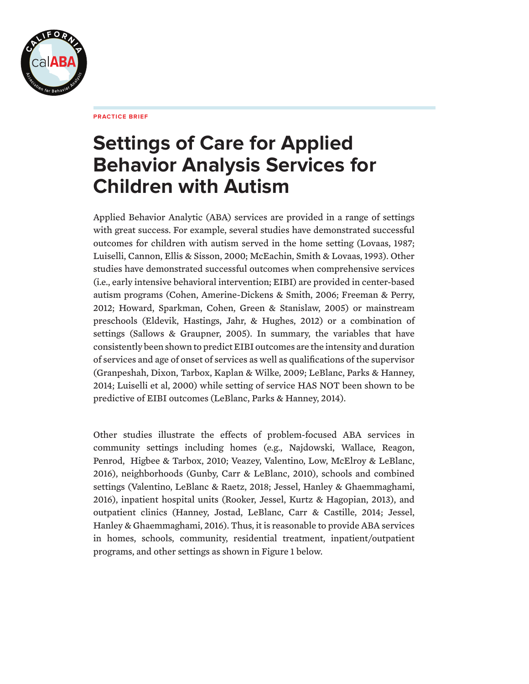

**PRACTICE BRIEF**

# **Settings of Care for Applied Behavior Analysis Services for Children with Autism**

Applied Behavior Analytic (ABA) services are provided in a range of settings with great success. For example, several studies have demonstrated successful outcomes for children with autism served in the home setting (Lovaas, 1987; Luiselli, Cannon, Ellis & Sisson, 2000; McEachin, Smith & Lovaas, 1993). Other studies have demonstrated successful outcomes when comprehensive services (i.e., early intensive behavioral intervention; EIBI) are provided in center-based autism programs (Cohen, Amerine-Dickens & Smith, 2006; Freeman & Perry, 2012; Howard, Sparkman, Cohen, Green & Stanislaw, 2005) or mainstream preschools (Eldevik, Hastings, Jahr, & Hughes, 2012) or a combination of settings (Sallows & Graupner, 2005). In summary, the variables that have consistently been shown to predict EIBI outcomes are the intensity and duration of services and age of onset of services as well as qualifications of the supervisor (Granpeshah, Dixon, Tarbox, Kaplan & Wilke, 2009; LeBlanc, Parks & Hanney, 2014; Luiselli et al, 2000) while setting of service HAS NOT been shown to be predictive of EIBI outcomes (LeBlanc, Parks & Hanney, 2014).

Other studies illustrate the effects of problem-focused ABA services in community settings including homes (e.g., Najdowski, Wallace, Reagon, Penrod, Higbee & Tarbox, 2010; Veazey, Valentino, Low, McElroy & LeBlanc, 2016), neighborhoods (Gunby, Carr & LeBlanc, 2010), schools and combined settings (Valentino, LeBlanc & Raetz, 2018; Jessel, Hanley & Ghaemmaghami, 2016), inpatient hospital units (Rooker, Jessel, Kurtz & Hagopian, 2013), and outpatient clinics (Hanney, Jostad, LeBlanc, Carr & Castille, 2014; Jessel, Hanley & Ghaemmaghami, 2016). Thus, it is reasonable to provide ABA services in homes, schools, community, residential treatment, inpatient/outpatient programs, and other settings as shown in Figure 1 below.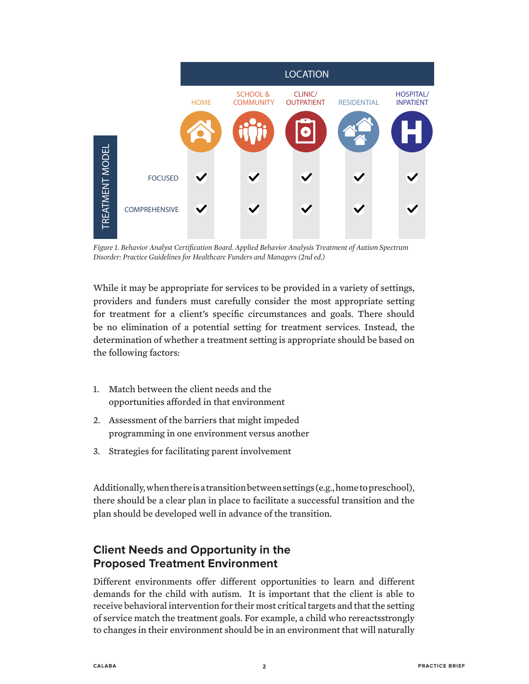

*Figure 1. Behavior Analyst Certification Board. Applied Behavior Analysis Treatment of Autism Spectrum Disorder: Practice Guidelines for Healthcare Funders and Managers (2nd ed.)*

While it may be appropriate for services to be provided in a variety of settings, providers and funders must carefully consider the most appropriate setting for treatment for a client's specific circumstances and goals. There should be no elimination of a potential setting for treatment services. Instead, the determination of whether a treatment setting is appropriate should be based on the following factors:

- 1. Match between the client needs and the opportunities afforded in that environment
- 2. Assessment of the barriers that might impeded programming in one environment versus another
- 3. Strategies for facilitating parent involvement

Additionally, when there is a transition between settings (e.g., home to preschool), there should be a clear plan in place to facilitate a successful transition and the plan should be developed well in advance of the transition.

## **Client Needs and Opportunity in the Proposed Treatment Environment**

Different environments offer different opportunities to learn and different demands for the child with autism. It is important that the client is able to receive behavioral intervention for their most critical targets and that the setting of service match the treatment goals. For example, a child who rereactsstrongly to changes in their environment should be in an environment that will naturally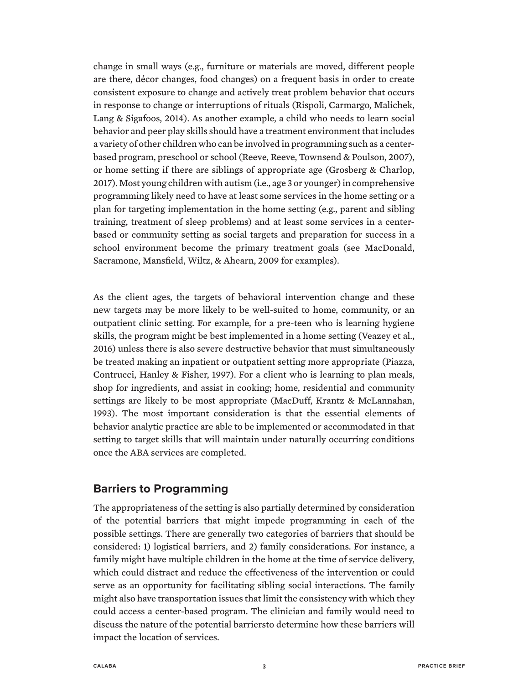change in small ways (e.g., furniture or materials are moved, different people are there, décor changes, food changes) on a frequent basis in order to create consistent exposure to change and actively treat problem behavior that occurs in response to change or interruptions of rituals (Rispoli, Carmargo, Malichek, Lang & Sigafoos, 2014). As another example, a child who needs to learn social behavior and peer play skills should have a treatment environment that includes a variety of other children who can be involved in programming such as a centerbased program, preschool or school (Reeve, Reeve, Townsend & Poulson, 2007), or home setting if there are siblings of appropriate age (Grosberg & Charlop, 2017). Most young children with autism (i.e., age 3 or younger) in comprehensive programming likely need to have at least some services in the home setting or a plan for targeting implementation in the home setting (e.g., parent and sibling training, treatment of sleep problems) and at least some services in a centerbased or community setting as social targets and preparation for success in a school environment become the primary treatment goals (see MacDonald, Sacramone, Mansfield, Wiltz, & Ahearn, 2009 for examples).

As the client ages, the targets of behavioral intervention change and these new targets may be more likely to be well-suited to home, community, or an outpatient clinic setting. For example, for a pre-teen who is learning hygiene skills, the program might be best implemented in a home setting (Veazey et al., 2016) unless there is also severe destructive behavior that must simultaneously be treated making an inpatient or outpatient setting more appropriate (Piazza, Contrucci, Hanley & Fisher, 1997). For a client who is learning to plan meals, shop for ingredients, and assist in cooking; home, residential and community settings are likely to be most appropriate (MacDuff, Krantz & McLannahan, 1993). The most important consideration is that the essential elements of behavior analytic practice are able to be implemented or accommodated in that setting to target skills that will maintain under naturally occurring conditions once the ABA services are completed.

#### **Barriers to Programming**

The appropriateness of the setting is also partially determined by consideration of the potential barriers that might impede programming in each of the possible settings. There are generally two categories of barriers that should be considered: 1) logistical barriers, and 2) family considerations. For instance, a family might have multiple children in the home at the time of service delivery, which could distract and reduce the effectiveness of the intervention or could serve as an opportunity for facilitating sibling social interactions. The family might also have transportation issues that limit the consistency with which they could access a center-based program. The clinician and family would need to discuss the nature of the potential barriersto determine how these barriers will impact the location of services.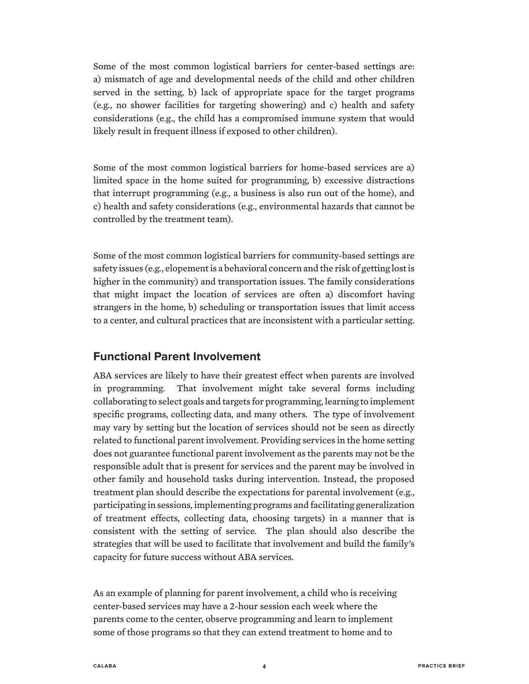Some of the most common logistical barriers for center-based settings are: a) mismatch of age and developmental needs of the child and other children served in the setting, b) lack of appropriate space for the target programs (e.g., no shower facilities for targeting showering) and c) health and safety considerations (e.g., the child has a compromised immune system that would likely result in frequent illness if exposed to other children).

Some of the most common logistical barriers for home-based services are a) limited space in the home suited for programming, b) excessive distractions that interrupt programming (e.g., a business is also run out of the home), and c) health and safety considerations (e.g., environmental hazards that cannot be controlled by the treatment team).

Some of the most common logistical barriers for community-based settings are safety issues (e.g., elopement is a behavioral concern and the risk of getting lost is higher in the community) and transportation issues. The family considerations that might impact the location of services are often a) discomfort having strangers in the home, b) scheduling or transportation issues that limit access to a center, and cultural practices that are inconsistent with a particular setting.

#### **Functional Parent Involvement**

ABA services are likely to have their greatest effect when parents are involved in programming. That involvement might take several forms including collaborating to select goals and targets for programming, learning to implement specific programs, collecting data, and many others. The type of involvement may vary by setting but the location of services should not be seen as directly related to functional parent involvement. Providing services in the home setting does not guarantee functional parent involvement as the parents may not be the responsible adult that is present for services and the parent may be involved in other family and household tasks during intervention. Instead, the proposed treatment plan should describe the expectations for parental involvement (e.g., participating in sessions, implementing programs and facilitating generalization of treatment effects, collecting data, choosing targets) in a manner that is consistent with the setting of service. The plan should also describe the strategies that will be used to facilitate that involvement and build the family's capacity for future success without ABA services.

As an example of planning for parent involvement, a child who is receiving center-based services may have a 2-hour session each week where the parents come to the center, observe programming and learn to implement some of those programs so that they can extend treatment to home and to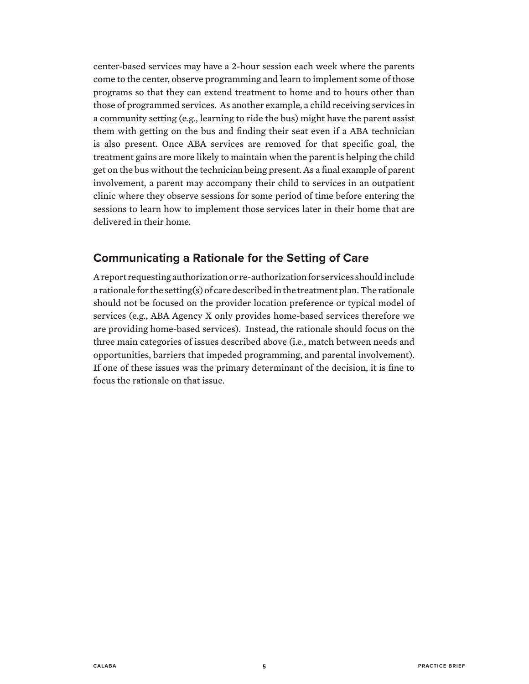center-based services may have a 2-hour session each week where the parents come to the center, observe programming and learn to implement some of those programs so that they can extend treatment to home and to hours other than those of programmed services. As another example, a child receiving services in a community setting (e.g., learning to ride the bus) might have the parent assist them with getting on the bus and finding their seat even if a ABA technician is also present. Once ABA services are removed for that specific goal, the treatment gains are more likely to maintain when the parent is helping the child get on the bus without the technician being present. As a final example of parent involvement, a parent may accompany their child to services in an outpatient clinic where they observe sessions for some period of time before entering the sessions to learn how to implement those services later in their home that are delivered in their home.

### **Communicating a Rationale for the Setting of Care**

A report requesting authorization or re-authorization for services should include a rationale for the setting(s) of care described in the treatment plan. The rationale should not be focused on the provider location preference or typical model of services (e.g., ABA Agency X only provides home-based services therefore we are providing home-based services). Instead, the rationale should focus on the three main categories of issues described above (i.e., match between needs and opportunities, barriers that impeded programming, and parental involvement). If one of these issues was the primary determinant of the decision, it is fine to focus the rationale on that issue.